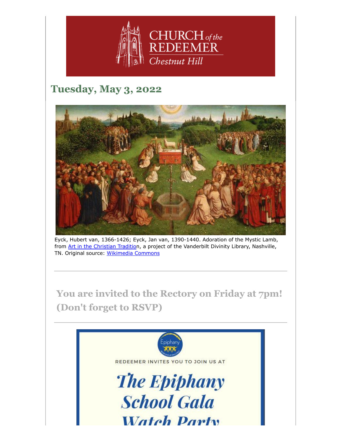

# **Tuesday, May 3, 2022**



Eyck, Hubert van, 1366-1426; Eyck, Jan van, 1390-1440. Adoration of the Mystic Lamb, from [Art in the Christian Tradition](https://diglib.library.vanderbilt.edu/act-imagelink.pl?RC=58312), a project of the Vanderbilt Divinity Library, Nashville, TN. Original source: [Wikimedia Commons](https://en.wikipedia.org/wiki/Ghent_Altarpiece#/media/File:Retable_de_l)

**You are invited to the Rectory on Friday at 7pm! (Don't forget to RSVP)**

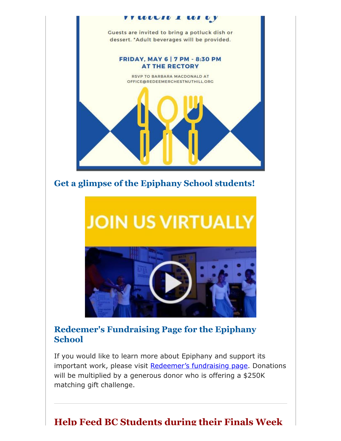

**Get a glimpse of the Epiphany School students!**

# **JOIN US VIRTUALLY**



## **Redeemer's Fundraising Page for the Epiphany School**

If you would like to learn more about Epiphany and support its important work, please visit [Redeemer's fundraising page.](https://give.epiphanyschool.com/fundraiser/3894017.) Donations will be multiplied by a generous donor who is offering a \$250K matching gift challenge.

# **Help Feed BC Students during their Finals Week**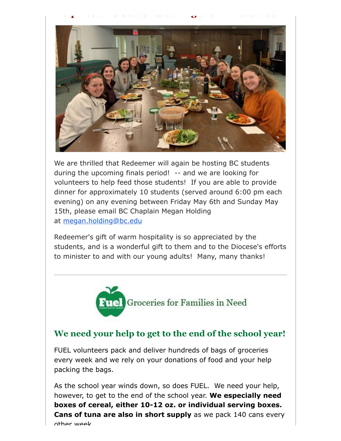

We are thrilled that Redeemer will again be hosting BC students during the upcoming finals period! -- and we are looking for volunteers to help feed those students! If you are able to provide dinner for approximately 10 students (served around 6:00 pm each evening) on any evening between Friday May 6th and Sunday May 15th, please email BC Chaplain Megan Holding at [megan.holding@bc.edu](mailto:megan.holding@bc.edu)

Redeemer's gift of warm hospitality is so appreciated by the students, and is a wonderful gift to them and to the Diocese's efforts to minister to and with our young adults! Many, many thanks!



## **We need your help to get to the end of the school year!**

FUEL volunteers pack and deliver hundreds of bags of groceries every week and we rely on your donations of food and your help packing the bags.

As the school year winds down, so does FUEL. We need your help, however, to get to the end of the school year. **We especially need boxes of cereal, either 10-12 oz. or individual serving boxes. Cans of tuna are also in short supply** as we pack 140 cans every other week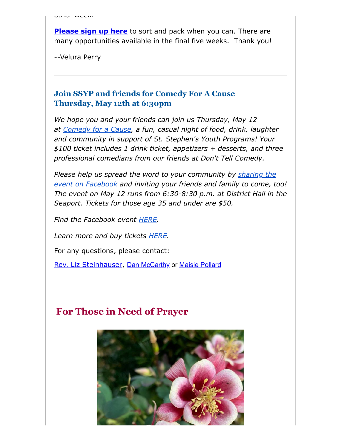**[Please sign up here](https://www.redeemerchestnuthill.org/EmailTracker/LinkTracker.ashx?linkAndRecipientCode=Fvws2JeO%2brUltxXfbD%2bc7gwkPEvGZPe527p5WZjqcx5PtdVYQyTnfXG9vBJV1AqZHpGDgSYmy9Bzlt51sf8HAe%2fwlDxFtFQyZN%2bsaCTPJ2U%3d)** to sort and pack when you can. There are many opportunities available in the final five weeks. Thank you!

--Velura Perry

#### **Join SSYP and friends for Comedy For A Cause Thursday, May 12th at 6:30pm**

*We hope you and your friends can join us Thursday, May 12 at [Comedy for a Cause](http://www.ssypboston.org/comedy-for-a-cause), a fun, casual night of food, drink, laughter and community in support of St. Stephen's Youth Programs! Your \$100 ticket includes 1 drink ticket, appetizers + desserts, and three professional comedians from our friends at Don't Tell Comedy.*

*[Please help us spread the word to your community by](https://www.facebook.com/events/703792077729735/?ref=newsfeed) sharing the event on Facebook and inviting your friends and family to come, too! The event on May 12 runs from 6:30-8:30 p.m. at District Hall in the Seaport. Tickets for those age 35 and under are \$50.*

*Find the Facebook event [HERE.](https://www.facebook.com/events/703792077729735/?ref=newsfeed)*

*Learn more and buy tickets [HERE.](http://www.ssypboston.org/comedy-for-a-cause)*

For any questions, please contact:

[Rev. Liz Steinhauser,](mailto:liz@ststephensbos.org) [Dan McCarthy](mailto:dan.mccarthy@comcast.net) or [Maisie Pollard](mailto:maisiepollard@gmail.com)

## **For Those in Need of Prayer**

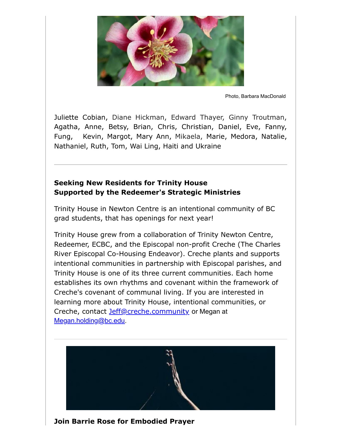

Photo, Barbara MacDonald

Juliette Cobian, Diane Hickman, Edward Thayer, Ginny Troutman, Agatha, Anne, Betsy, Brian, Chris, Christian, Daniel, Eve, Fanny, Fung, Kevin, Margot, Mary Ann, Mikaela, Marie, Medora, Natalie, Nathaniel, Ruth, Tom, Wai Ling, Haiti and Ukraine

#### **Seeking New Residents for Trinity House Supported by the Redeemer's Strategic Ministries**

Trinity House in Newton Centre is an intentional community of BC grad students, that has openings for next year!

Trinity House grew from a collaboration of Trinity Newton Centre, Redeemer, ECBC, and the Episcopal non-profit Creche (The Charles River Episcopal Co-Housing Endeavor). Creche plants and supports intentional communities in partnership with Episcopal parishes, and Trinity House is one of its three current communities. Each home establishes its own rhythms and covenant within the framework of Creche's covenant of communal living. If you are interested in learning more about Trinity House, intentional communities, or Creche, contact [Jeff@creche.community](mailto:Jeff@creche.community) or Megan at [Megan.holding@bc.edu](mailto:Megan.holding@bc.edu).



**Join Barrie Rose for Embodied Prayer**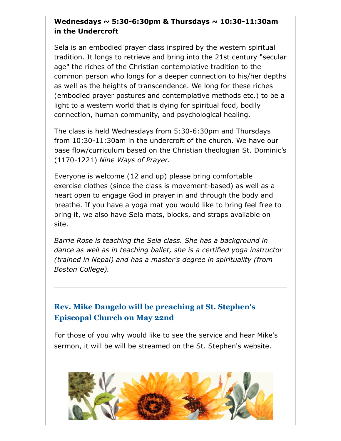#### **Wednesdays ~ 5:30-6:30pm & Thursdays ~ 10:30-11:30am in the Undercroft**

Sela is an embodied prayer class inspired by the western spiritual tradition. It longs to retrieve and bring into the 21st century "secular age" the riches of the Christian contemplative tradition to the common person who longs for a deeper connection to his/her depths as well as the heights of transcendence. We long for these riches (embodied prayer postures and contemplative methods etc.) to be a light to a western world that is dying for spiritual food, bodily connection, human community, and psychological healing.

The class is held Wednesdays from 5:30-6:30pm and Thursdays from 10:30-11:30am in the undercroft of the church. We have our base flow/curriculum based on the Christian theologian St. Dominic's (1170-1221) *Nine Ways of Prayer.*

Everyone is welcome (12 and up) please bring comfortable exercise clothes (since the class is movement-based) as well as a heart open to engage God in prayer in and through the body and breathe. If you have a yoga mat you would like to bring feel free to bring it, we also have Sela mats, blocks, and straps available on site.

*Barrie Rose is teaching the Sela class. She has a background in dance as well as in teaching ballet, she is a certified yoga instructor (trained in Nepal) and has a master's degree in spirituality (from Boston College).*

### **Rev. Mike Dangelo will be preaching at St. Stephen's Episcopal Church on May 22nd**

For those of you why would like to see the service and hear Mike's sermon, it will be will be streamed on the St. Stephen's website.

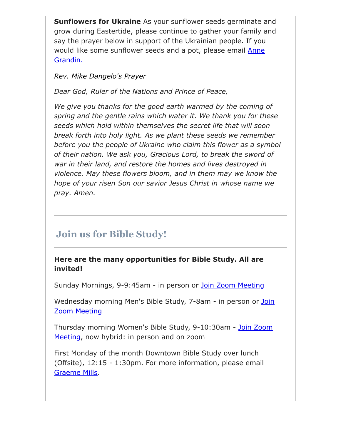**Sunflowers for Ukraine** As your sunflower seeds germinate and grow during Eastertide, please continue to gather your family and say the prayer below in support of the Ukrainian people. If you would like some sunflower seeds and a pot, please email **Anne** Grandin.

#### *Rev. Mike Dangelo's Prayer*

*Dear God, Ruler of the Nations and Prince of Peace,*

*We give you thanks for the good earth warmed by the coming of spring and the gentle rains which water it. We thank you for these seeds which hold within themselves the secret life that will soon break forth into holy light. As we plant these seeds we remember before you the people of Ukraine who claim this flower as a symbol of their nation. We ask you, Gracious Lord, to break the sword of war in their land, and restore the homes and lives destroyed in violence. May these flowers bloom, and in them may we know the hope of your risen Son our savior Jesus Christ in whose name we pray. Amen.*

## **Join us for Bible Study!**

#### **Here are the many opportunities for Bible Study. All are invited!**

Sunday Mornings, 9-9:45am - in person or [Join Zoom Meeting](https://us02web.zoom.us/j/86566228912?pwd=aGxWTU1PU3Y3TDZsVTdmbXg2UnNvZz09)

[Wednesday morning Men's Bible Study, 7-8am - in person or](https://us02web.zoom.us/j/89392200698?pwd=czIzYmlKT1JCRmkrdlBFM2lJaGdkZz09) Join Zoom Meeting

[Thursday morning Women's Bible Study, 9-10:30am - Join Zoom](https://us02web.zoom.us/j/82431832126?pwd=ZXBLQUFnL2haSEZyWll3b0R0MEpmUT09#success#success) Meeting, now hybrid: in person and on zoom

First Monday of the month Downtown Bible Study over lunch (Offsite), 12:15 - 1:30pm. For more information, please email [Graeme Mills](mailto:gmills@cambridgeassociates.com).